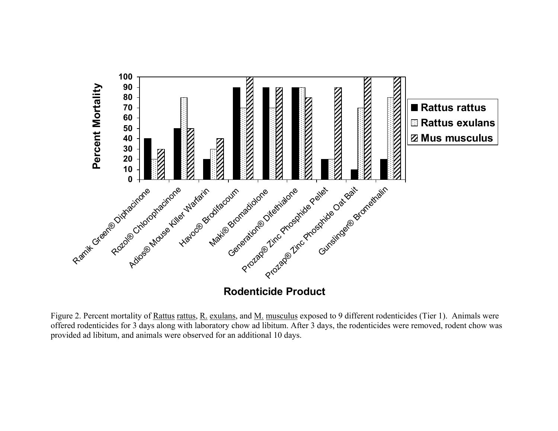

**Rodenticide Product**

Figure 2. Percent mortality of Rattus rattus, R. exulans, and M. musculus exposed to 9 different rodenticides (Tier 1). Animals were offered rodenticides for 3 days along with laboratory chow ad libitum. After 3 days, the rodenticides were removed, rodent chow was provided ad libitum, and animals were observed for an additional 10 days.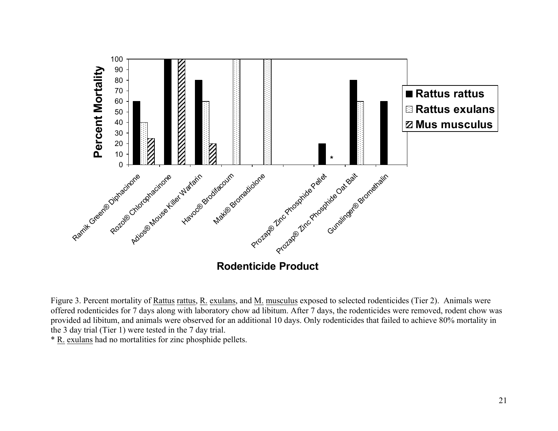

Figure 3. Percent mortality of Rattus rattus, R. exulans, and M. musculus exposed to selected rodenticides (Tier 2). Animals were offered rodenticides for 7 days along with laboratory chow ad libitum. After 7 days, the rodenticides were removed, rodent chow was provided ad libitum, and animals were observed for an additional 10 days. Only rodenticides that failed to achieve 80% mortality in the 3 day trial (Tier 1) were tested in the 7 day trial.

\* R. exulans had no mortalities for zinc phosphide pellets.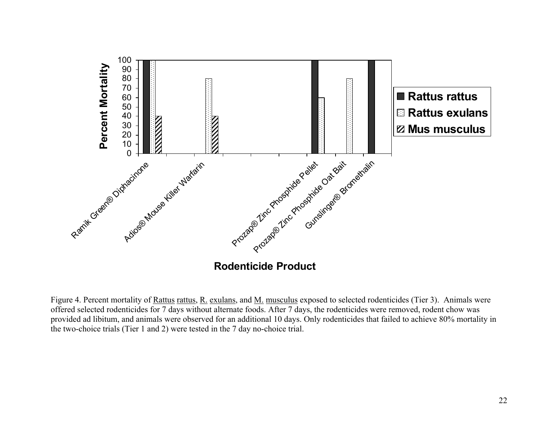

Figure 4. Percent mortality of Rattus rattus, R. exulans, and M. musculus exposed to selected rodenticides (Tier 3). Animals were offered selected rodenticides for 7 days without alternate foods. After 7 days, the rodenticides were removed, rodent chow was provided ad libitum, and animals were observed for an additional 10 days. Only rodenticides that failed to achieve 80% mortality in the two-choice trials (Tier 1 and 2) were tested in the 7 day no-choice trial.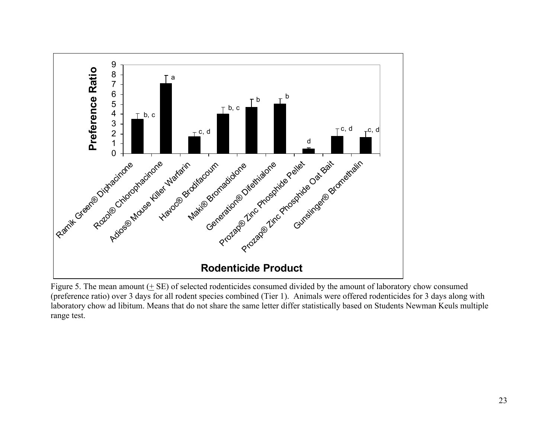

Figure 5. The mean amount (+ SE) of selected rodenticides consumed divided by the amount of laboratory chow consumed (preference ratio) over 3 days for all rodent species combined (Tier 1). Animals were offered rodenticides for 3 days along with laboratory chow ad libitum. Means that do not share the same letter differ statistically based on Students Newman Keuls multiple range test.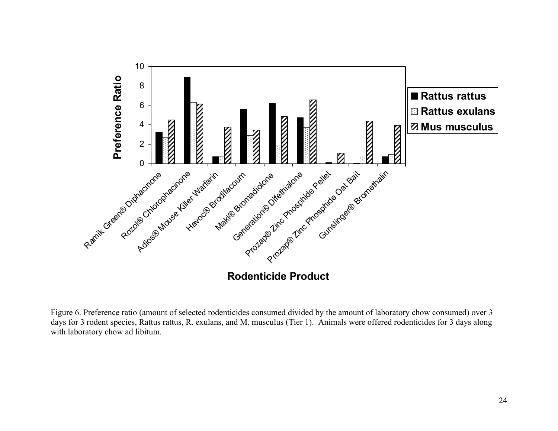

Figure 6. Preference ratio (amount of selected rodenticides consumed divided by the amount of laboratory chow consumed) over 3 days for 3 rodent species, Rattus rattus, R. exulans, and M. musculus (Tier 1). Animals were offered rodenticides for 3 days along with laboratory chow ad libitum.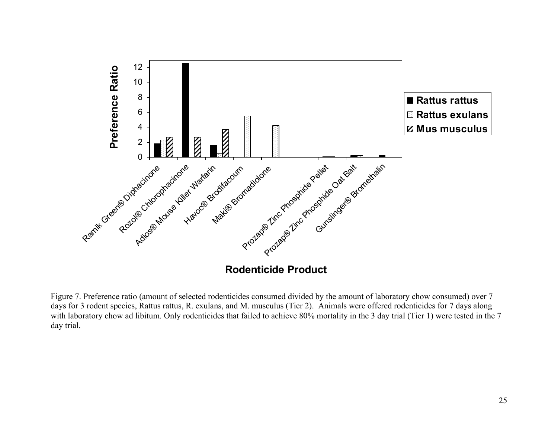

Figure 7. Preference ratio (amount of selected rodenticides consumed divided by the amount of laboratory chow consumed) over 7 days for 3 rodent species, Rattus rattus, R. exulans, and M. musculus (Tier 2). Animals were offered rodenticides for 7 days along with laboratory chow ad libitum. Only rodenticides that failed to achieve 80% mortality in the 3 day trial (Tier 1) were tested in the 7 day trial.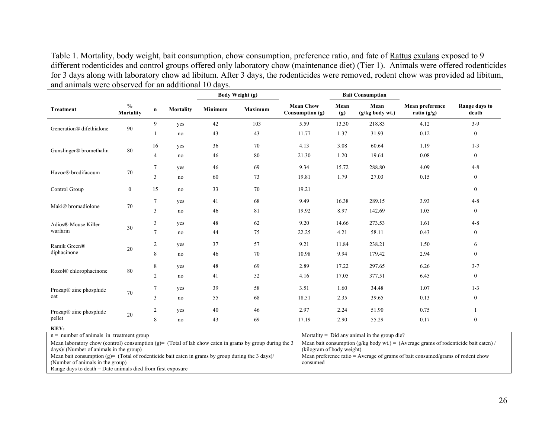Table 1. Mortality, body weight, bait consumption, chow consumption, preference ratio, and fate of Rattus exulans exposed to 9 different rodenticides and control groups offered only laboratory chow (maintenance diet) (Tier 1). Animals were offered rodenticides for 3 days along with laboratory chow ad libitum. After 3 days, the rodenticides were removed, rodent chow was provided ad libitum, and animals were observed for an additional 10 days.

|                          |                                   |                |                  |         | Body Weight (g) |                                     |             | <b>Bait Consumption</b> |                                  |                        |
|--------------------------|-----------------------------------|----------------|------------------|---------|-----------------|-------------------------------------|-------------|-------------------------|----------------------------------|------------------------|
| <b>Treatment</b>         | $\frac{0}{0}$<br><b>Mortality</b> | $\mathbf n$    | <b>Mortality</b> | Minimum | Maximum         | <b>Mean Chow</b><br>Consumption (g) | Mean<br>(g) | Mean<br>(g/kg body wt.) | Mean preference<br>ratio $(g/g)$ | Range days to<br>death |
| Generation® difethialone | 90                                | 9              | yes              | 42      | 103             | 5.59                                | 13.30       | 218.83                  | 4.12                             | $3-9$                  |
|                          |                                   |                | no               | 43      | 43              | 11.77                               | 1.37        | 31.93                   | 0.12                             | $\boldsymbol{0}$       |
| Gunslinger® bromethalin  | 80                                | 16             | yes              | 36      | 70              | 4.13                                | 3.08        | 60.64                   | 1.19                             | $1 - 3$                |
|                          |                                   | 4              | no               | 46      | 80              | 21.30                               | 1.20        | 19.64                   | 0.08                             | $\mathbf{0}$           |
| Havoc® brodifacoum       | 70                                | $\tau$         | yes              | 46      | 69              | 9.34                                | 15.72       | 288.80                  | 4.09                             | $4 - 8$                |
|                          |                                   | 3              | no               | 60      | 73              | 19.81                               | 1.79        | 27.03                   | 0.15                             | $\mathbf{0}$           |
| Control Group            | $\boldsymbol{0}$                  | 15             | no               | 33      | 70              | 19.21                               |             |                         |                                  | $\boldsymbol{0}$       |
| Maki® bromadiolone       | 70                                | 7              | yes              | 41      | 68              | 9.49                                | 16.38       | 289.15                  | 3.93                             | $4 - 8$                |
|                          |                                   | 3              | no               | 46      | 81              | 19.92                               | 8.97        | 142.69                  | 1.05                             | $\boldsymbol{0}$       |
| Adios® Mouse Killer      | 30                                | 3              | yes              | 48      | 62              | 9.20                                | 14.66       | 273.53                  | 1.61                             | $4 - 8$                |
| warfarin                 |                                   | $\overline{7}$ | no               | 44      | 75              | 22.25                               | 4.21        | 58.11                   | 0.43                             | $\overline{0}$         |
| Ramik Green®             | 20                                | $\overline{c}$ | yes              | 37      | 57              | 9.21                                | 11.84       | 238.21                  | 1.50                             | 6                      |
| diphacinone              |                                   | 8              | no               | 46      | 70              | 10.98                               | 9.94        | 179.42                  | 2.94                             | $\boldsymbol{0}$       |
| Rozol® chlorophacinone   | 80                                | 8              | yes              | 48      | 69              | 2.89                                | 17.22       | 297.65                  | 6.26                             | $3 - 7$                |
|                          |                                   | 2              | no               | 41      | 52              | 4.16                                | 17.05       | 377.51                  | 6.45                             | $\mathbf{0}$           |
| Prozap® zinc phosphide   | 70                                | $\tau$         | yes              | 39      | 58              | 3.51                                | 1.60        | 34.48                   | 1.07                             | $1 - 3$                |
| oat                      |                                   | 3              | no               | 55      | 68              | 18.51                               | 2.35        | 39.65                   | 0.13                             | $\boldsymbol{0}$       |
| Prozap® zinc phosphide   | 20                                | $\overline{c}$ | yes              | 40      | 46              | 2.97                                | 2.24        | 51.90                   | 0.75                             |                        |
| pellet                   |                                   | 8              | no               | 43      | 69              | 17.19                               | 2.90        | 55.29                   | 0.17                             | $\mathbf{0}$           |

**KEY:**

Mean laboratory chow (control) consumption (g)= (Total of lab chow eaten in grams by group during the 3 days)/ (Number of animals in the group)

Mean bait consumption (g)= (Total of rodenticide bait eaten in grams by group during the 3 days)/

(Number of animals in the group)

Range days to death = Date animals died from first exposure

n = number of animals in treatment group more states of animal in the group die?

Mean bait consumption (g/kg body wt.) = (Average grams of rodenticide bait eaten) / (kilogram of body weight) Mean preference ratio = Average of grams of bait consumed/grams of rodent chow consumed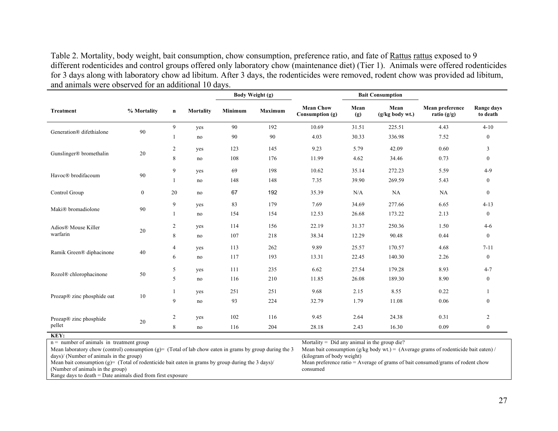Table 2. Mortality, body weight, bait consumption, chow consumption, preference ratio, and fate of Rattus rattus exposed to 9 different rodenticides and control groups offered only laboratory chow (maintenance diet) (Tier 1). Animals were offered rodenticides for 3 days along with laboratory chow ad libitum. After 3 days, the rodenticides were removed, rodent chow was provided ad libitum, and animals were observed for an additional 10 days.

|                            |              |                |                  |         | Body Weight (g) |                                     |             | <b>Bait Consumption</b> |                                  |                        |
|----------------------------|--------------|----------------|------------------|---------|-----------------|-------------------------------------|-------------|-------------------------|----------------------------------|------------------------|
| <b>Treatment</b>           | % Mortality  | $\mathbf n$    | <b>Mortality</b> | Minimum | <b>Maximum</b>  | <b>Mean Chow</b><br>Consumption (g) | Mean<br>(g) | Mean<br>(g/kg body wt.) | Mean preference<br>ratio $(g/g)$ | Range days<br>to death |
| Generation® difethialone   | 90           | 9              | yes              | 90      | 192             | 10.69                               | 31.51       | 225.51                  | 4.43                             | $4 - 10$               |
|                            |              |                | no               | 90      | 90              | 4.03                                | 30.33       | 336.98                  | 7.52                             | $\boldsymbol{0}$       |
|                            |              | $\overline{2}$ | yes              | 123     | 145             | 9.23                                | 5.79        | 42.09                   | 0.60                             | 3                      |
| Gunslinger® bromethalin    | 20           | 8              | no               | 108     | 176             | 11.99                               | 4.62        | 34.46                   | 0.73                             | $\mathbf{0}$           |
|                            |              | 9              | yes              | 69      | 198             | 10.62                               | 35.14       | 272.23                  | 5.59                             | $4-9$                  |
| Havoc® brodifacoum         | 90           |                | no               | 148     | 148             | 7.35                                | 39.90       | 269.59                  | 5.43                             | $\boldsymbol{0}$       |
| Control Group              | $\mathbf{0}$ | 20             | no               | 67      | 192             | 35.39                               | N/A         | NA                      | NA                               | $\boldsymbol{0}$       |
|                            |              | 9              | yes              | 83      | 179             | 7.69                                | 34.69       | 277.66                  | 6.65                             | $4 - 13$               |
| Maki® bromadiolone         | 90           |                | no               | 154     | 154             | 12.53                               | 26.68       | 173.22                  | 2.13                             | $\mathbf{0}$           |
| Adios® Mouse Killer        | 20           | $\overline{2}$ | yes              | 114     | 156             | 22.19                               | 31.37       | 250.36                  | 1.50                             | $4-6$                  |
| warfarin                   |              | 8              | no               | 107     | 218             | 38.34                               | 12.29       | 90.48                   | 0.44                             | $\boldsymbol{0}$       |
|                            |              | 4              | yes              | 113     | 262             | 9.89                                | 25.57       | 170.57                  | 4.68                             | $7 - 11$               |
| Ramik Green® diphacinone   | 40           | 6              | no               | 117     | 193             | 13.31                               | 22.45       | 140.30                  | 2.26                             | $\boldsymbol{0}$       |
|                            |              | 5              | yes              | 111     | 235             | 6.62                                | 27.54       | 179.28                  | 8.93                             | $4 - 7$                |
| Rozol® chlorophacinone     | $50\,$       | 5              | no               | 116     | 210             | 11.85                               | 26.08       | 189.30                  | 8.90                             | $\mathbf{0}$           |
|                            |              | 1              | yes              | 251     | 251             | 9.68                                | 2.15        | 8.55                    | 0.22                             |                        |
| Prozap® zinc phosphide oat | 10           | 9              | no               | 93      | 224             | 32.79                               | 1.79        | 11.08                   | 0.06                             | $\boldsymbol{0}$       |
|                            |              |                |                  |         |                 |                                     |             |                         |                                  |                        |
| Prozap® zinc phosphide     | 20           | $\overline{2}$ | yes              | 102     | 116             | 9.45                                | 2.64        | 24.38                   | 0.31                             | $\overline{2}$         |
| pellet                     |              | 8              | no               | 116     | 204             | 28.18                               | 2.43        | 16.30                   | 0.09                             | $\boldsymbol{0}$       |

## **KEY:**

Mean laboratory chow (control) consumption  $(g)$  (Total of lab chow eaten in grams by group during the 3 days)/ (Number of animals in the group)

n = number of animals in treatment group more states of animal in the group die?

Mean bait consumption (g/kg body wt.) = (Average grams of rodenticide bait eaten) / (kilogram of body weight)

Mean bait consumption (g)= (Total of rodenticide bait eaten in grams by group during the 3 days)/

(Number of animals in the group)

Range days to death = Date animals died from first exposure

Mean preference ratio = Average of grams of bait consumed/grams of rodent chow consumed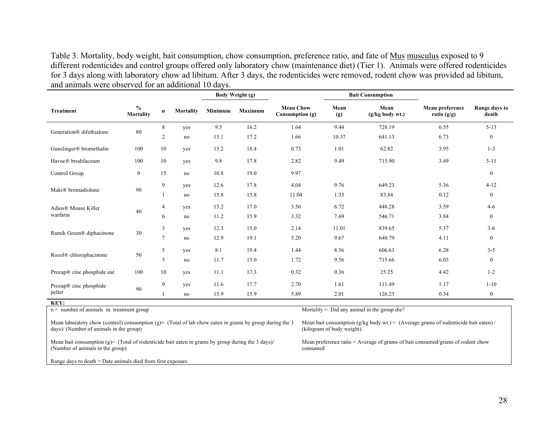Table 3. Mortality, body weight, bait consumption, chow consumption, preference ratio, and fate of Mus musculus exposed to 9 different rodenticides and control groups offered only laboratory chow (maintenance diet) (Tier 1). Animals were offered rodenticides for 3 days along with laboratory chow ad libitum. After 3 days, the rodenticides were removed, rodent chow was provided ad libitum, and animals were observed for an additional 10 days.

|                            |                            |                |           |         | Body Weight (g) | <b>Bait Consumption</b>               |             |                           |                                  |                        |
|----------------------------|----------------------------|----------------|-----------|---------|-----------------|---------------------------------------|-------------|---------------------------|----------------------------------|------------------------|
| <b>Treatment</b>           | $\frac{0}{0}$<br>Mortality | $\mathbf n$    | Mortality | Minimum | <b>Maximum</b>  | <b>Mean Chow</b><br>Consumption $(g)$ | Mean<br>(g) | Mean<br>$(g/kg$ body wt.) | Mean preference<br>ratio $(g/g)$ | Range days to<br>death |
| Generation® difethialone   | 80                         | $\,$ 8 $\,$    | yes       | 9.5     | 16.2            | 1.64                                  | 9.44        | 728.19                    | 6.55                             | $5 - 13$               |
|                            |                            | 2              | no        | 15.1    | 17.2            | 1.66                                  | 10.37       | 641.13                    | 6.73                             | $\boldsymbol{0}$       |
| Gunslinger® bromethalin    | 100                        | 10             | yes       | 13.2    | 18.4            | 0.73                                  | 1.01        | 62.82                     | 3.95                             | $1 - 3$                |
| Havoc® brodifacoum         | 100                        | 10             | yes       | 9.8     | 17.8            | 2.82                                  | 9.49        | 715.90                    | 3.49                             | $5 - 11$               |
| Control Group              | $\boldsymbol{0}$           | 15             | no        | 10.8    | 19.0            | 9.97                                  |             |                           |                                  | $\boldsymbol{0}$       |
| Maki® bromadiolone         |                            | 9              | yes       | 12.6    | 17.8            | 4.04                                  | 9.76        | 649.23                    | 5.36                             | $4 - 12$               |
|                            | 90                         |                | no        | 15.8    | 15.8            | 11.04                                 | 1.33        | 83.84                     | 0.12                             | $\boldsymbol{0}$       |
| Adios® Mouse Killer        | 40                         | $\overline{4}$ | yes       | 13.2    | 17.0            | 3.50                                  | 6.72        | 448.28                    | 3.59                             | $4-6$                  |
| warfarin                   |                            | 6              | no        | 11.2    | 15.9            | 3.32                                  | 7.69        | 546.71                    | 3.84                             | $\boldsymbol{0}$       |
|                            | 30                         | $\mathfrak{Z}$ | yes       | 12.3    | 15.0            | 2.14                                  | 11.01       | 839.65                    | 5.37                             | $3 - 6$                |
| Ramik Green® diphacinone   |                            | $\overline{7}$ | no        | 12.9    | 19.1            | 5.20                                  | 9.67        | 640.79                    | 4.11                             | $\boldsymbol{0}$       |
|                            | 50                         | 5              | yes       | 8.1     | 19.4            | 1.44                                  | 8.56        | 606.63                    | 6.28                             | $3 - 5$                |
| Rozol® chlorophacinone     |                            | 5              | no        | 11.7    | 15.0            | 1.72                                  | 9.56        | 715.66                    | 6.03                             | $\boldsymbol{0}$       |
| Prozap® zinc phosphide oat | 100                        | 10             | yes       | 11.1    | 17.3            | 0.32                                  | 0.36        | 25.25                     | 4.42                             | $1 - 2$                |
| Prozap® zinc phosphide     |                            | 9              | yes       | 11.6    | 17.7            | 2.70                                  | 1.61        | 111.49                    | 1.17                             | $1 - 10$               |
| pellet                     | 90                         |                | no        | 15.9    | 15.9            | 5.89                                  | 2.01        | 126.23                    | 0.34                             | $\mathbf{0}$           |
| KEY:                       |                            |                |           |         |                 |                                       |             |                           |                                  |                        |

n = number of animals in treatment group more states of animal in the group die?

Mean laboratory chow (control) consumption (g)= (Total of lab chow eaten in grams by group during the  $3$ days)/ (Number of animals in the group)

Mean bait consumption (g/kg body wt.) = (Average grams of rodenticide bait eaten) / (kilogram of body weight)

Mean bait consumption (g)= (Total of rodenticide bait eaten in grams by group during the 3 days)/ (Number of animals in the group)

Mean preference ratio = Average of grams of bait consumed/grams of rodent chow consumed

Range days to death = Date animals died from first exposure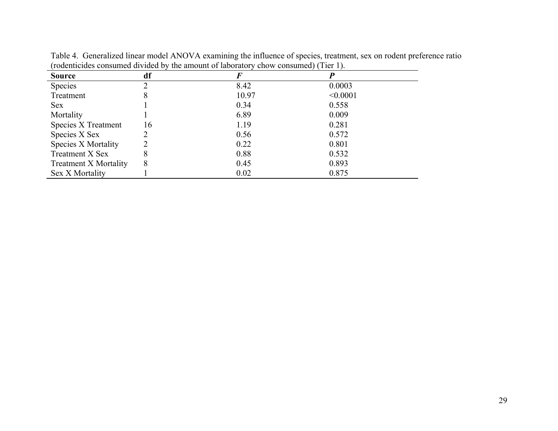| <b>Source</b>                | df | F     |          |
|------------------------------|----|-------|----------|
| <b>Species</b>               |    | 8.42  | 0.0003   |
| Treatment                    | 8  | 10.97 | < 0.0001 |
| <b>Sex</b>                   |    | 0.34  | 0.558    |
| Mortality                    |    | 6.89  | 0.009    |
| Species X Treatment          | 16 | 1.19  | 0.281    |
| Species X Sex                |    | 0.56  | 0.572    |
| <b>Species X Mortality</b>   |    | 0.22  | 0.801    |
| Treatment X Sex              | 8  | 0.88  | 0.532    |
| <b>Treatment X Mortality</b> | 8  | 0.45  | 0.893    |
| Sex X Mortality              |    | 0.02  | 0.875    |

Table 4. Generalized linear model ANOVA examining the influence of species, treatment, sex on rodent preference ratio (rodenticides consumed divided by the amount of laboratory chow consumed) (Tier 1).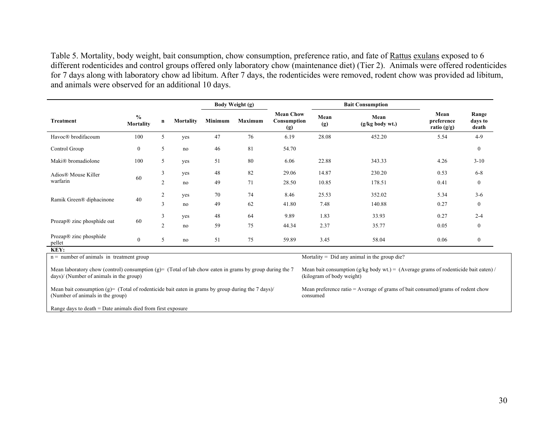Table 5. Mortality, body weight, bait consumption, chow consumption, preference ratio, and fate of Rattus exulans exposed to 6 different rodenticides and control groups offered only laboratory chow (maintenance diet) (Tier 2). Animals were offered rodenticides for 7 days along with laboratory chow ad libitum. After 7 days, the rodenticides were removed, rodent chow was provided ad libitum, and animals were observed for an additional 10 days.

|                                            |                                   |                |           |         | <b>Body Weight (g)</b> |                                        |             | <b>Bait Consumption</b>                        |                                     |                           |
|--------------------------------------------|-----------------------------------|----------------|-----------|---------|------------------------|----------------------------------------|-------------|------------------------------------------------|-------------------------------------|---------------------------|
| Treatment                                  | $\frac{0}{0}$<br><b>Mortality</b> | n              | Mortality | Minimum | Maximum                | <b>Mean Chow</b><br>Consumption<br>(g) | Mean<br>(g) | Mean<br>$(g/kg$ body wt.)                      | Mean<br>preference<br>ratio $(g/g)$ | Range<br>days to<br>death |
| Havoc® brodifacoum                         | 100                               | 5              | yes       | 47      | 76                     | 6.19                                   | 28.08       | 452.20                                         | 5.54                                | $4-9$                     |
| Control Group                              | $\mathbf{0}$                      | 5              | no        | 46      | 81                     | 54.70                                  |             |                                                |                                     | $\mathbf{0}$              |
| Maki® bromadiolone                         | 100                               | 5              | yes       | 51      | 80                     | 6.06                                   | 22.88       | 343.33                                         | 4.26                                | $3 - 10$                  |
| Adios® Mouse Killer                        | 60                                | 3              | yes       | 48      | 82                     | 29.06                                  | 14.87       | 230.20                                         | 0.53                                | $6 - 8$                   |
| warfarin                                   |                                   | $\mathfrak{2}$ | no        | 49      | 71                     | 28.50                                  | 10.85       | 178.51                                         | 0.41                                | $\mathbf{0}$              |
|                                            |                                   | $\mathfrak{2}$ | yes       | 70      | 74                     | 8.46                                   | 25.53       | 352.02                                         | 5.34                                | $3-6$                     |
| Ramik Green® diphacinone                   | 40                                | 3              | no        | 49      | 62                     | 41.80                                  | 7.48        | 140.88                                         | 0.27                                | $\boldsymbol{0}$          |
|                                            | 60                                | 3              | yes       | 48      | 64                     | 9.89                                   | 1.83        | 33.93                                          | 0.27                                | $2 - 4$                   |
| Prozap® zinc phosphide oat                 |                                   | $\overline{2}$ | no        | 59      | 75                     | 44.34                                  | 2.37        | 35.77                                          | 0.05                                | $\boldsymbol{0}$          |
| Prozap® zinc phosphide<br>pellet           | $\boldsymbol{0}$                  | 5              | no        | 51      | 75                     | 59.89                                  | 3.45        | 58.04                                          | 0.06                                | $\mathbf{0}$              |
| KEY:                                       |                                   |                |           |         |                        |                                        |             |                                                |                                     |                           |
| $n =$ number of animals in treatment group |                                   |                |           |         |                        |                                        |             | Mortality = $Did$ any animal in the group die? |                                     |                           |

Mean laboratory chow (control) consumption (g)= (Total of lab chow eaten in grams by group during the 7 days)/ (Number of animals in the group)

Mean bait consumption (g)= (Total of rodenticide bait eaten in grams by group during the 7 days)/ (Number of animals in the group)

Mean bait consumption (g/kg body wt.) = (Average grams of rodenticide bait eaten) / (kilogram of body weight)

Mean preference ratio = Average of grams of bait consumed/grams of rodent chow consumed

Range days to death = Date animals died from first exposure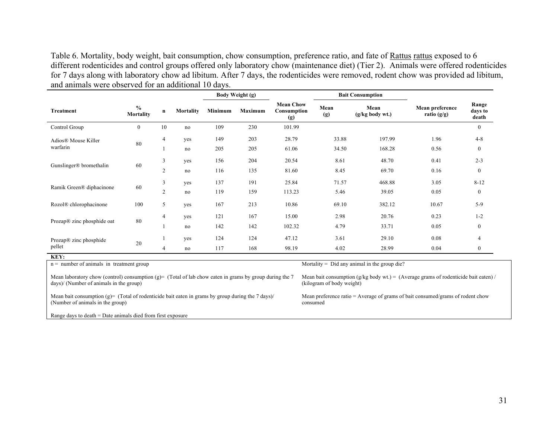Table 6. Mortality, body weight, bait consumption, chow consumption, preference ratio, and fate of Rattus rattus exposed to 6 different rodenticides and control groups offered only laboratory chow (maintenance diet) (Tier 2). Animals were offered rodenticides for 7 days along with laboratory chow ad libitum. After 7 days, the rodenticides were removed, rodent chow was provided ad libitum, and animals were observed for an additional 10 days.

|                                          |                                   |                     |                  |            | Body Weight (g)<br><b>Bait Consumption</b> |                                        |                |                           |                                  |                           |
|------------------------------------------|-----------------------------------|---------------------|------------------|------------|--------------------------------------------|----------------------------------------|----------------|---------------------------|----------------------------------|---------------------------|
| <b>Treatment</b>                         | $\frac{6}{6}$<br><b>Mortality</b> | $\mathbf n$         | <b>Mortality</b> | Minimum    | Maximum                                    | <b>Mean Chow</b><br>Consumption<br>(g) | Mean<br>(g)    | Mean<br>$(g/kg$ body wt.) | Mean preference<br>ratio $(g/g)$ | Range<br>days to<br>death |
| Control Group                            | $\mathbf{0}$                      | 10                  | no               | 109        | 230                                        | 101.99                                 |                |                           |                                  | $\mathbf{0}$              |
| Adios® Mouse Killer<br>warfarin          | 80                                | 4                   | yes<br>no        | 149<br>205 | 203<br>205                                 | 28.79<br>61.06                         | 33.88<br>34.50 | 197.99<br>168.28          | 1.96<br>0.56                     | $4 - 8$<br>$\bf{0}$       |
| Gunslinger® bromethalin                  | 60                                | 3<br>$\overline{2}$ | yes<br>no        | 156<br>116 | 204<br>135                                 | 20.54<br>81.60                         | 8.61<br>8.45   | 48.70<br>69.70            | 0.41<br>0.16                     | $2 - 3$<br>$\bf{0}$       |
| Ramik Green® diphacinone                 | 60                                | 3<br>$\overline{2}$ | yes<br>no        | 137<br>119 | 191<br>159                                 | 25.84<br>113.23                        | 71.57<br>5.46  | 468.88<br>39.05           | 3.05<br>0.05                     | $8 - 12$<br>$\bf{0}$      |
| Rozol® chlorophacinone                   | 100                               | 5                   | yes              | 167        | 213                                        | 10.86                                  | 69.10          | 382.12                    | 10.67                            | $5-9$                     |
| Prozap® zinc phosphide oat               | 80                                | 4                   | yes<br>no        | 121<br>142 | 167<br>142                                 | 15.00<br>102.32                        | 2.98<br>4.79   | 20.76<br>33.71            | 0.23<br>0.05                     | $1 - 2$<br>$\bf{0}$       |
| Prozap® zinc phosphide<br>pellet<br>KEY: | 20                                | 4                   | yes<br>no        | 124<br>117 | 124<br>168                                 | 47.12<br>98.19                         | 3.61<br>4.02   | 29.10<br>28.99            | 0.08<br>0.04                     | 4<br>$\bf{0}$             |

| $n =$ number of animals in treatment group                                                              | Mortality = $Did$ any animal in the group die?                                        |
|---------------------------------------------------------------------------------------------------------|---------------------------------------------------------------------------------------|
| Mean laboratory chow (control) consumption (g)= (Total of lab chow eaten in grams by group during the 7 | Mean bait consumption $(g/kg$ body wt.) = (Average grams of rodenticide bait eaten) / |
| days)/ (Number of animals in the group)                                                                 | (kilogram of body weight)                                                             |
| Mean bait consumption (g)= (Total of rodenticide bait eaten in grams by group during the 7 days)/       | Mean preference ratio $=$ Average of grams of bait consumed/grams of rodent chow      |
| (Number of animals in the group)                                                                        | consumed                                                                              |
| Range days to death $=$ Date animals died from first exposure                                           |                                                                                       |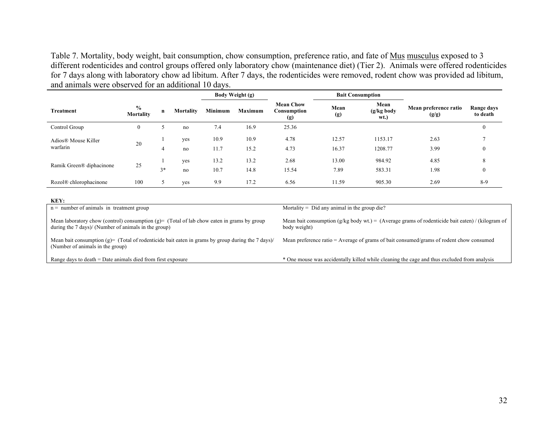Table 7. Mortality, body weight, bait consumption, chow consumption, preference ratio, and fate of Mus musculus exposed to 3 different rodenticides and control groups offered only laboratory chow (maintenance diet) (Tier 2). Animals were offered rodenticides for 7 days along with laboratory chow ad libitum. After 7 days, the rodenticides were removed, rodent chow was provided ad libitum, and animals were observed for an additional 10 days.

|                                 |                                   |             |                  | <b>Body Weight (g)</b> |                | <b>Bait Consumption</b>                |                |                            |                                |                        |
|---------------------------------|-----------------------------------|-------------|------------------|------------------------|----------------|----------------------------------------|----------------|----------------------------|--------------------------------|------------------------|
| <b>Treatment</b>                | $\frac{6}{6}$<br><b>Mortality</b> | $\mathbf n$ | <b>Mortality</b> | <b>Minimum</b>         | <b>Maximum</b> | <b>Mean Chow</b><br>Consumption<br>(g) | Mean<br>(g)    | Mean<br>(g/kg body<br>wt.) | Mean preference ratio<br>(g/g) | Range days<br>to death |
| Control Group                   | $\overline{0}$                    |             | no               | 7.4                    | 16.9           | 25.36                                  |                |                            |                                | $\theta$               |
| Adios® Mouse Killer<br>warfarin | 20                                | 4           | yes<br>no        | 10.9<br>11.7           | 10.9<br>15.2   | 4.78<br>4.73                           | 12.57<br>16.37 | 1153.17<br>1208.77         | 2.63<br>3.99                   | $\mathbf{0}$           |
| Ramik Green® diphacinone        | 25                                | $3*$        | yes<br>no        | 13.2<br>10.7           | 13.2<br>14.8   | 2.68<br>15.54                          | 13.00<br>7.89  | 984.92<br>583.31           | 4.85<br>1.98                   | 8<br>$\theta$          |
| Rozol® chlorophacinone          | 100                               |             | ves              | 9.9                    | 17.2           | 6.56                                   | 11.59          | 905.30                     | 2.69                           | $8-9$                  |

| KEY:                                                                                                                                               |                                                                                                                    |
|----------------------------------------------------------------------------------------------------------------------------------------------------|--------------------------------------------------------------------------------------------------------------------|
| $n =$ number of animals in treatment group                                                                                                         | Mortality = $Did$ any animal in the group die?                                                                     |
| Mean laboratory chow (control) consumption (g)= (Total of lab chow eaten in grams by group<br>during the 7 days)/ (Number of animals in the group) | Mean bait consumption $(g/kg$ body wt.) = (Average grams of rodenticide bait eaten) / (kilogram of<br>body weight) |
| Mean bait consumption (g)= (Total of rodenticide bait eaten in grams by group during the 7 days)/<br>(Number of animals in the group)              | Mean preference ratio = Average of grams of bait consumed/grams of rodent chow consumed                            |
| Range days to death $=$ Date animals died from first exposure                                                                                      | * One mouse was accidentally killed while cleaning the cage and thus excluded from analysis                        |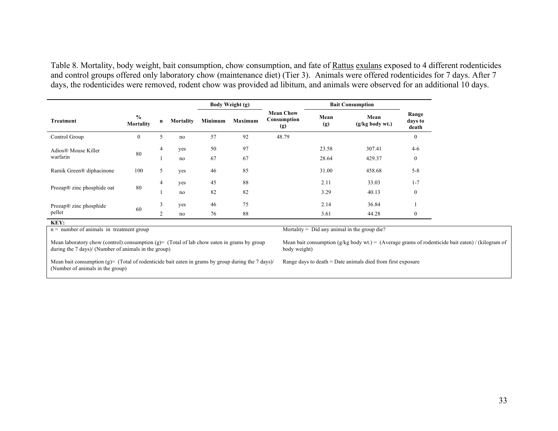Table 8. Mortality, body weight, bait consumption, chow consumption, and fate of Rattus exulans exposed to 4 different rodenticides and control groups offered only laboratory chow (maintenance diet) (Tier 3). Animals were offered rodenticides for 7 days. After 7 days, the rodenticides were removed, rodent chow was provided ad libitum, and animals were observed for an additional 10 days.

|                            |                            |                |           |         | Body Weight (g) |                                        | <b>Bait Consumption</b> |                           |                           |
|----------------------------|----------------------------|----------------|-----------|---------|-----------------|----------------------------------------|-------------------------|---------------------------|---------------------------|
| <b>Treatment</b>           | $\frac{0}{0}$<br>Mortality | n              | Mortality | Minimum | Maximum         | <b>Mean Chow</b><br>Consumption<br>(g) | Mean<br>(g)             | Mean<br>$(g/kg$ body wt.) | Range<br>days to<br>death |
| Control Group              | $\mathbf{0}$               | 5              | no        | 57      | 92              | 48.79                                  |                         |                           | $\mathbf{0}$              |
| Adios® Mouse Killer        | 80                         | 4              | yes       | 50      | 97              |                                        | 23.58                   | 307.41                    | $4-6$                     |
| warfarin                   |                            |                | no        | 67      | 67              |                                        | 28.64                   | 429.37                    | $\mathbf{0}$              |
| Ramik Green® diphacinone   | 100                        | 5              | yes       | 46      | 85              |                                        | 31.00                   | 458.68                    | $5 - 8$                   |
|                            | 4<br>80                    | yes            | 45        | 88      |                 | 2.11                                   | 33.03                   | $1 - 7$                   |                           |
| Prozap® zinc phosphide oat |                            |                | no        | 82      | 82              |                                        | 3.29                    | 40.13                     | $\mathbf{0}$              |
| Prozap® zinc phosphide     | 60                         | 3              | yes       | 46      | 75              |                                        | 2.14                    | 36.84                     |                           |
| pellet                     |                            | $\overline{2}$ | no        | 76      | 88              |                                        | 3.61                    | 44.28                     | $\mathbf{0}$              |
| KEY:                       |                            |                |           |         |                 |                                        |                         |                           |                           |

n = number of animals in treatment group more and the group die?<br>Mortality = Did any animal in the group die?

Mean laboratory chow (control) consumption (g)= (Total of lab chow eaten in grams by group during the 7 days)/ (Number of animals in the group)

Mean bait consumption (g)= (Total of rodenticide bait eaten in grams by group during the 7 days)/ (Number of animals in the group)

Mean bait consumption (g/kg body wt.) = (Average grams of rodenticide bait eaten) / (kilogram of body weight)

Range days to death = Date animals died from first exposure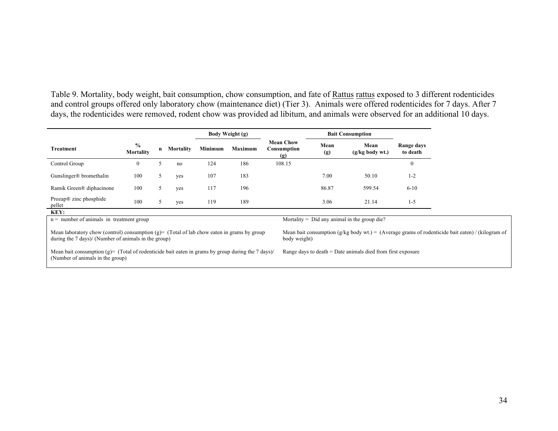Table 9. Mortality, body weight, bait consumption, chow consumption, and fate of Rattus rattus exposed to 3 different rodenticides and control groups offered only laboratory chow (maintenance diet) (Tier 3). Animals were offered rodenticides for 7 days. After 7 days, the rodenticides were removed, rodent chow was provided ad libitum, and animals were observed for an additional 10 days.

|                                                                                                                                                                                                                                                                        |                                                                                                                                                                                                        |   |           |         | Body Weight (g) |                                        |             | <b>Bait Consumption</b>                        |                        |  |
|------------------------------------------------------------------------------------------------------------------------------------------------------------------------------------------------------------------------------------------------------------------------|--------------------------------------------------------------------------------------------------------------------------------------------------------------------------------------------------------|---|-----------|---------|-----------------|----------------------------------------|-------------|------------------------------------------------|------------------------|--|
| Treatment                                                                                                                                                                                                                                                              | $\frac{0}{0}$<br>Mortality                                                                                                                                                                             | n | Mortality | Minimum | Maximum         | <b>Mean Chow</b><br>Consumption<br>(g) | Mean<br>(g) | Mean<br>$(g/kg$ body wt.)                      | Range days<br>to death |  |
| Control Group                                                                                                                                                                                                                                                          | $\mathbf{0}$                                                                                                                                                                                           | 5 | no        | 124     | 186             | 108.15                                 |             |                                                | $\Omega$               |  |
| Gunslinger <sup>®</sup> bromethalin                                                                                                                                                                                                                                    | 100                                                                                                                                                                                                    | 5 | yes       | 107     | 183             |                                        | 7.00        | 50.10                                          | $1 - 2$                |  |
| Ramik Green® diphacinone                                                                                                                                                                                                                                               | 100                                                                                                                                                                                                    | 5 | yes       | 117     | 196             |                                        | 86.87       | 599.54                                         | $6 - 10$               |  |
| Prozap <sup>®</sup> zinc phosphide<br>pellet                                                                                                                                                                                                                           | 100                                                                                                                                                                                                    | 5 | yes       | 119     | 189             |                                        | 3.06        | 21.14                                          | $1 - 5$                |  |
| KEY:                                                                                                                                                                                                                                                                   |                                                                                                                                                                                                        |   |           |         |                 |                                        |             |                                                |                        |  |
| $n =$ number of animals in treatment group                                                                                                                                                                                                                             |                                                                                                                                                                                                        |   |           |         |                 |                                        |             | Mortality = $Did$ any animal in the group die? |                        |  |
| Mean laboratory chow (control) consumption (g)= (Total of lab chow eaten in grams by group<br>Mean bait consumption (g/kg body wt.) = (Average grams of rodenticide bait eaten) / (kilogram of<br>during the 7 days)/ (Number of animals in the group)<br>body weight) |                                                                                                                                                                                                        |   |           |         |                 |                                        |             |                                                |                        |  |
|                                                                                                                                                                                                                                                                        | Mean bait consumption (g)= (Total of rodenticide bait eaten in grams by group during the 7 days)/<br>Range days to death $=$ Date animals died from first exposure<br>(Number of animals in the group) |   |           |         |                 |                                        |             |                                                |                        |  |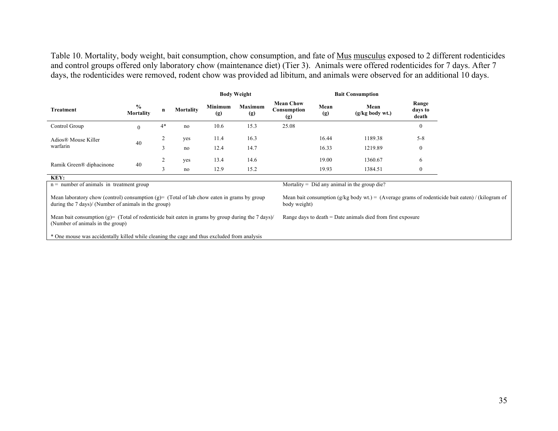Table 10. Mortality, body weight, bait consumption, chow consumption, and fate of Mus musculus exposed to 2 different rodenticides and control groups offered only laboratory chow (maintenance diet) (Tier 3). Animals were offered rodenticides for 7 days. After 7 days, the rodenticides were removed, rodent chow was provided ad libitum, and animals were observed for an additional 10 days.

|                                                                                                                                                    |                            |      |           |                | <b>Body Weight</b> |                                        | <b>Bait Consumption</b> |                                                               |                           |                                                                                                  |
|----------------------------------------------------------------------------------------------------------------------------------------------------|----------------------------|------|-----------|----------------|--------------------|----------------------------------------|-------------------------|---------------------------------------------------------------|---------------------------|--------------------------------------------------------------------------------------------------|
| Treatment                                                                                                                                          | $\frac{0}{0}$<br>Mortality | n    | Mortality | Minimum<br>(g) | Maximum<br>(g)     | <b>Mean Chow</b><br>Consumption<br>(g) | Mean<br>(g)             | Mean<br>$(g/kg$ body wt.)                                     | Range<br>days to<br>death |                                                                                                  |
| Control Group                                                                                                                                      | $\mathbf{0}$               | $4*$ | no        | 10.6           | 15.3               | 25.08                                  |                         |                                                               | $\theta$                  |                                                                                                  |
| Adios® Mouse Killer                                                                                                                                |                            | 2    | yes       | 11.4           | 16.3               |                                        | 16.44                   | 1189.38                                                       | $5 - 8$                   |                                                                                                  |
| 40<br>warfarin                                                                                                                                     |                            | 3    | no        | 12.4           | 14.7               |                                        | 16.33                   | 1219.89                                                       | $\mathbf{0}$              |                                                                                                  |
| Ramik Green® diphacinone                                                                                                                           | 40                         | 2    | yes       | 13.4           | 14.6               |                                        | 19.00                   | 1360.67                                                       | 6                         |                                                                                                  |
|                                                                                                                                                    |                            | 3    | no        | 12.9           | 15.2               |                                        | 19.93                   | 1384.51                                                       | $\mathbf{0}$              |                                                                                                  |
| KEY:                                                                                                                                               |                            |      |           |                |                    |                                        |                         |                                                               |                           |                                                                                                  |
| $n =$ number of animals in treatment group                                                                                                         |                            |      |           |                |                    |                                        |                         | Mortality = $Did$ any animal in the group die?                |                           |                                                                                                  |
| Mean laboratory chow (control) consumption (g)= (Total of lab chow eaten in grams by group<br>during the 7 days)/ (Number of animals in the group) |                            |      |           |                |                    | body weight)                           |                         |                                                               |                           | Mean bait consumption (g/kg body wt.) = (Average grams of rodenticide bait eaten) / (kilogram of |
| Mean bait consumption (g)= (Total of rodenticide bait eaten in grams by group during the 7 days)/<br>(Number of animals in the group)              |                            |      |           |                |                    |                                        |                         | Range days to death $=$ Date animals died from first exposure |                           |                                                                                                  |
| * One mouse was accidentally killed while cleaning the cage and thus excluded from analysis                                                        |                            |      |           |                |                    |                                        |                         |                                                               |                           |                                                                                                  |